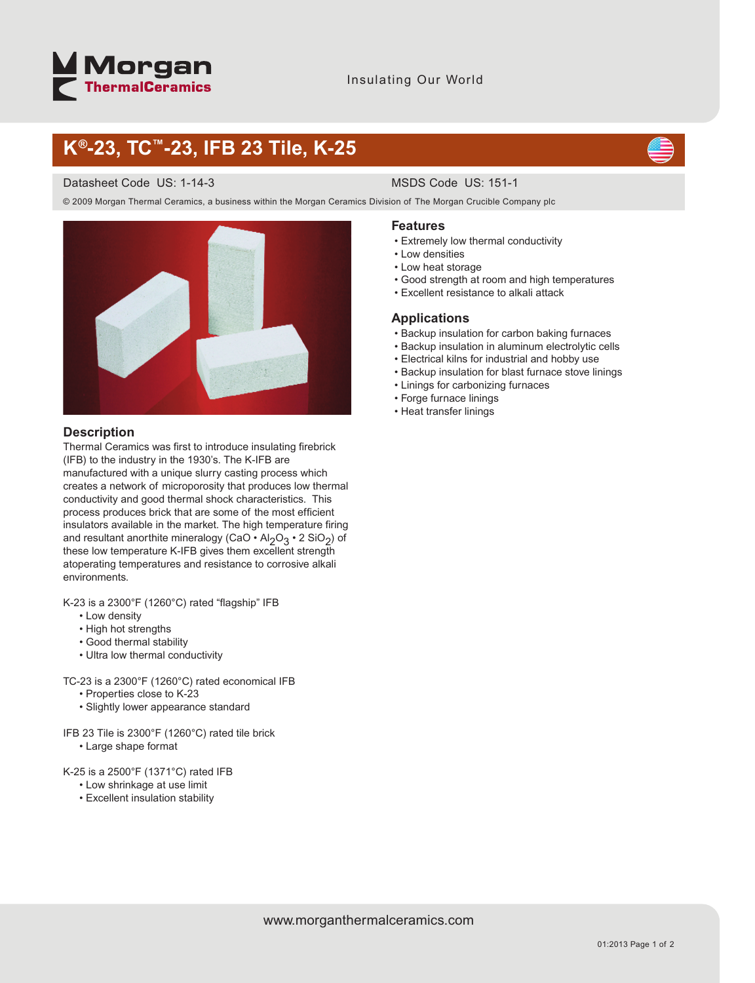# **Morgan**<br>ThermalCeramics

# **K®-23, TC™-23, IFB 23 Tile, K-25**

### Datasheet Code US: 1-14-3 MSDS Code US: 151-1

© 2009 Morgan Thermal Ceramics, a business within the Morgan Ceramics Division of The Morgan Crucible Company plc



# **Description**

Thermal Ceramics was first to introduce insulating firebrick (IFB) to the industry in the 1930's. The K-IFB are manufactured with a unique slurry casting process which creates a network of microporosity that produces low thermal conductivity and good thermal shock characteristics. This process produces brick that are some of the most efficient insulators available in the market. The high temperature firing and resultant anorthite mineralogy (CaO • Al $_2$ O $_3$  • 2 SiO $_2$ ) of these low temperature K-IFB gives them excellent strength atoperating temperatures and resistance to corrosive alkali environments.

K-23 is a 2300°F (1260°C) rated "flagship" IFB

- Low density
- High hot strengths
- Good thermal stability
- Ultra low thermal conductivity

TC-23 is a 2300°F (1260°C) rated economical IFB

- Properties close to K-23
- Slightly lower appearance standard

IFB 23 Tile is 2300°F (1260°C) rated tile brick

• Large shape format

K-25 is a 2500°F (1371°C) rated IFB

- Low shrinkage at use limit
- Excellent insulation stability

### **Features**

- Extremely low thermal conductivity
- Low densities
- Low heat storage
- Good strength at room and high temperatures
- Excellent resistance to alkali attack

## **Applications**

- Backup insulation for carbon baking furnaces
- Backup insulation in aluminum electrolytic cells
- Electrical kilns for industrial and hobby use
- Backup insulation for blast furnace stove linings
- Linings for carbonizing furnaces
- Forge furnace linings
- Heat transfer linings